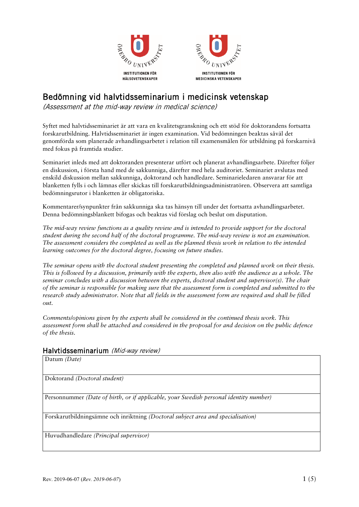



# Bedömning vid halvtidsseminarium i medicinsk vetenskap

(Assessment at the mid-way review in medical science)

Syftet med halvtidsseminariet är att vara en kvalitetsgranskning och ett stöd för doktorandens fortsatta forskarutbildning. Halvtidsseminariet är ingen examination. Vid bedömningen beaktas såväl det genomförda som planerade avhandlingsarbetet i relation till examensmålen för utbildning på forskarnivå med fokus på framtida studier.

Seminariet inleds med att doktoranden presenterar utfört och planerat avhandlingsarbete. Därefter följer en diskussion, i första hand med de sakkunniga, därefter med hela auditoriet. Seminariet avslutas med enskild diskussion mellan sakkunniga, doktorand och handledare. Seminarieledaren ansvarar för att blanketten fylls i och lämnas eller skickas till forskarutbildningsadministratören. Observera att samtliga bedömningsrutor i blanketten är obligatoriska.

Kommentarer/synpunkter från sakkunniga ska tas hänsyn till under det fortsatta avhandlingsarbetet. Denna bedömningsblankett bifogas och beaktas vid förslag och beslut om disputation.

*The mid-way review functions as a quality review and is intended to provide support for the doctoral student during the second half of the doctoral programme. The mid-way review is not an examination. The assessment considers the completed as well as the planned thesis work in relation to the intended learning outcomes for the doctoral degree, focusing on future studies.* 

*The seminar opens with the doctoral student presenting the completed and planned work on their thesis. This is followed by a discussion, primarily with the experts, then also with the audience as a whole. The seminar concludes with a discussion between the experts, doctoral student and supervisor(s). The chair of the seminar is responsible for making sure that the assessment form is completed and submitted to the research study administrator. Note that all fields in the assessment form are required and shall be filled out.*

*Comments/opinions given by the experts shall be considered in the continued thesis work. This assessment form shall be attached and considered in the proposal for and decision on the public defence of the thesis.*

### Halvtidsseminarium (Mid-way review)

Datum *(Date)*

Doktorand *(Doctoral student)*

Personnummer *(Date of birth, or if applicable, your Swedish personal identity number)*

Forskarutbildningsämne och inriktning *(Doctoral subject area and specialisation)*

Huvudhandledare *(Principal supervisor)*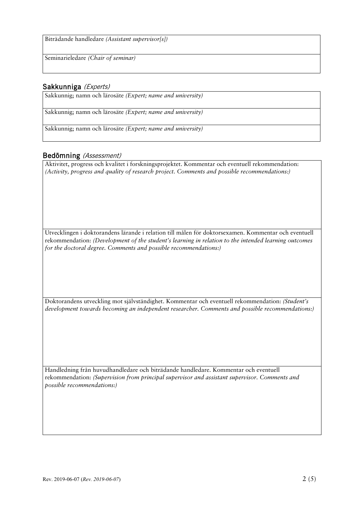Biträdande handledare *(Assistant supervisor[s])*

Seminarieledare *(Chair of seminar)*

### Sakkunniga (Experts)

Sakkunnig; namn och lärosäte *(Expert; name and university)*

Sakkunnig; namn och lärosäte *(Expert; name and university)*

Sakkunnig; namn och lärosäte *(Expert; name and university)*

### Bedömning (Assessment)

Aktivitet, progress och kvalitet i forskningsprojektet. Kommentar och eventuell rekommendation: *(Activity, progress and quality of research project. Comments and possible recommendations:)*

Utvecklingen i doktorandens lärande i relation till målen för doktorsexamen. Kommentar och eventuell rekommendation: *(Development of the student's learning in relation to the intended learning outcomes for the doctoral degree. Comments and possible recommendations:)*

Doktorandens utveckling mot självständighet. Kommentar och eventuell rekommendation: *(Student's development towards becoming an independent researcher. Comments and possible recommendations:)*

Handledning från huvudhandledare och biträdande handledare. Kommentar och eventuell rekommendation: *(Supervision from principal supervisor and assistant supervisor. Comments and possible recommendations:)*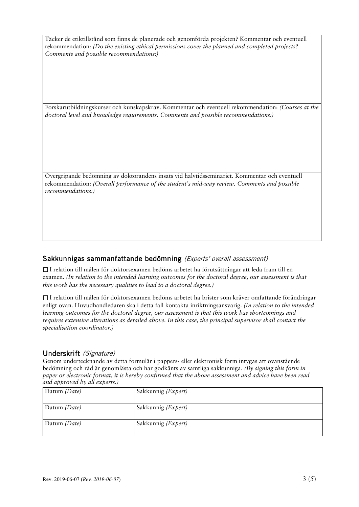Täcker de etiktillstånd som finns de planerade och genomförda projekten? Kommentar och eventuell rekommendation: *(Do the existing ethical permissions cover the planned and completed projects? Comments and possible recommendations:)*

Forskarutbildningskurser och kunskapskrav. Kommentar och eventuell rekommendation: *(Courses at the doctoral level and knowledge requirements. Comments and possible recommendations:)*

Övergripande bedömning av doktorandens insats vid halvtidsseminariet. Kommentar och eventuell rekommendation: *(Overall performance of the student's mid-way review. Comments and possible recommendations:)*

### Sakkunnigas sammanfattande bedömning (Experts' overall assessment)

I relation till målen för doktorsexamen bedöms arbetet ha förutsättningar att leda fram till en examen. *(In relation to the intended learning outcomes for the doctoral degree, our assessment is that this work has the necessary qualities to lead to a doctoral degree.)*

I relation till målen för doktorsexamen bedöms arbetet ha brister som kräver omfattande förändringar enligt ovan. Huvudhandledaren ska i detta fall kontakta inriktningsansvarig. *(In relation to the intended learning outcomes for the doctoral degree, our assessment is that this work has shortcomings and requires extensive alterations as detailed above. In this case, the principal supervisor shall contact the specialisation coordinator.)*

### Underskrift (Signature)

Genom undertecknande av detta formulär i pappers- eller elektronisk form intygas att ovanstående bedömning och råd är genomlästa och har godkänts av samtliga sakkunniga. *(By signing this form in paper or electronic format, it is hereby confirmed that the above assessment and advice have been read and approved by all experts.)*

| Datum (Date) | Sakkunnig (Expert) |
|--------------|--------------------|
| Datum (Date) | Sakkunnig (Expert) |
| Datum (Date) | Sakkunnig (Expert) |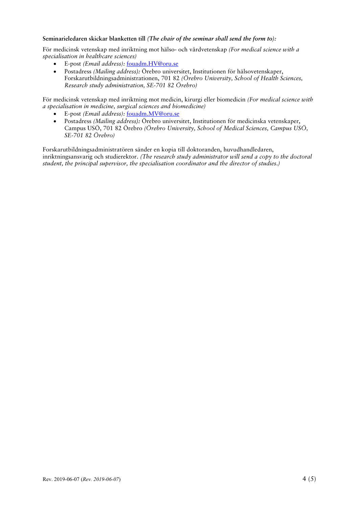#### **Seminarieledaren skickar blanketten till** *(The chair of the seminar shall send the form to):*

För medicinsk vetenskap med inriktning mot hälso- och vårdvetenskap *(For medical science with a specialisation in healthcare sciences)*

- E-post *(Email address):* fouadm.HV@oru.se
- Postadress *(Mailing address):* Örebro universitet, Institutionen för hälsovetenskaper, Forskarutbildningsadministrationen, 701 82 *(Örebro University, School of Health Sciences, Research study administration, SE-701 82 Örebro)*

För medicinsk vetenskap med inriktning mot medicin, kirurgi eller biomedicin *(For medical science with a specialisation in medicine, surgical sciences and biomedicine)*

- E-post *(Email address):* fouadm.MV@oru.se
- Postadress *(Mailing address):* Örebro universitet, Institutionen för medicinska vetenskaper, Campus USÖ, 701 82 Örebro *(Örebro University, School of Medical Sciences, Campus USÖ, SE-701 82 Örebro)*

Forskarutbildningsadministratören sänder en kopia till doktoranden, huvudhandledaren, inriktningsansvarig och studierektor. *(The research study administrator will send a copy to the doctoral student, the principal supervisor, the specialisation coordinator and the director of studies.)*